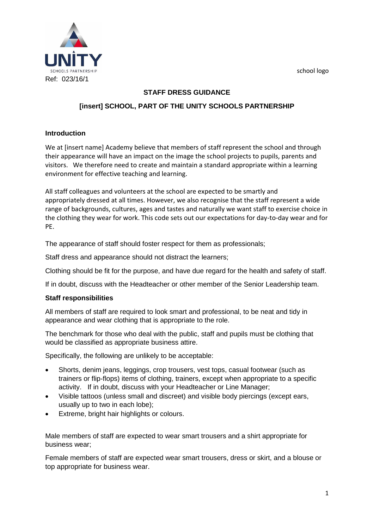school logo



## **STAFF DRESS GUIDANCE**

# **[insert] SCHOOL, PART OF THE UNITY SCHOOLS PARTNERSHIP**

### **Introduction**

We at [insert name] Academy believe that members of staff represent the school and through their appearance will have an impact on the image the school projects to pupils, parents and visitors. We therefore need to create and maintain a standard appropriate within a learning environment for effective teaching and learning.

All staff colleagues and volunteers at the school are expected to be smartly and appropriately dressed at all times. However, we also recognise that the staff represent a wide range of backgrounds, cultures, ages and tastes and naturally we want staff to exercise choice in the clothing they wear for work. This code sets out our expectations for day-to-day wear and for PE.

The appearance of staff should foster respect for them as professionals;

Staff dress and appearance should not distract the learners;

Clothing should be fit for the purpose, and have due regard for the health and safety of staff.

If in doubt, discuss with the Headteacher or other member of the Senior Leadership team.

#### **Staff responsibilities**

All members of staff are required to look smart and professional, to be neat and tidy in appearance and wear clothing that is appropriate to the role.

The benchmark for those who deal with the public, staff and pupils must be clothing that would be classified as appropriate business attire.

Specifically, the following are unlikely to be acceptable:

- Shorts, denim jeans, leggings, crop trousers, vest tops, casual footwear (such as trainers or flip-flops) items of clothing, trainers, except when appropriate to a specific activity. If in doubt, discuss with your Headteacher or Line Manager;
- Visible tattoos (unless small and discreet) and visible body piercings (except ears, usually up to two in each lobe);
- Extreme, bright hair highlights or colours.

Male members of staff are expected to wear smart trousers and a shirt appropriate for business wear;

Female members of staff are expected wear smart trousers, dress or skirt, and a blouse or top appropriate for business wear.